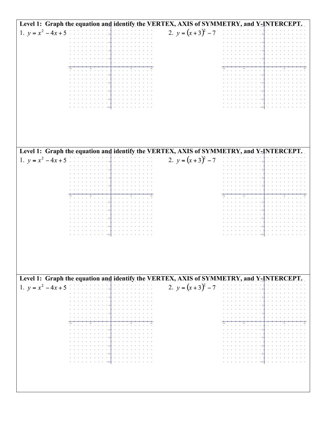| Level 1: Graph the equation and identify the VERTEX, AXIS of SYMMETRY, and Y-INTERCEPT.                      |                                                                                         |
|--------------------------------------------------------------------------------------------------------------|-----------------------------------------------------------------------------------------|
| 1. $y = x^2 - 4x + 5$<br>$\alpha$ , and $\alpha$ , and $\alpha$ , and $\alpha$ , and $\alpha$ , and $\alpha$ | 2. $y = (x + 3)^2 - 7$                                                                  |
|                                                                                                              |                                                                                         |
|                                                                                                              |                                                                                         |
|                                                                                                              |                                                                                         |
|                                                                                                              |                                                                                         |
|                                                                                                              | car car.                                                                                |
|                                                                                                              |                                                                                         |
|                                                                                                              |                                                                                         |
|                                                                                                              |                                                                                         |
|                                                                                                              |                                                                                         |
|                                                                                                              |                                                                                         |
|                                                                                                              |                                                                                         |
|                                                                                                              |                                                                                         |
|                                                                                                              |                                                                                         |
|                                                                                                              |                                                                                         |
| Level 1: Graph the equation and identify the VERTEX, AXIS of SYMMETRY, and Y-INTERCEPT.                      |                                                                                         |
| 1. $y = x^2 - 4x + 5$<br>$\alpha = \alpha \alpha = \alpha \alpha = \alpha$ .                                 | 2. $y = (x + 3)^2 - 7$                                                                  |
|                                                                                                              |                                                                                         |
|                                                                                                              |                                                                                         |
|                                                                                                              |                                                                                         |
|                                                                                                              |                                                                                         |
|                                                                                                              |                                                                                         |
|                                                                                                              |                                                                                         |
|                                                                                                              |                                                                                         |
|                                                                                                              |                                                                                         |
|                                                                                                              | $-8$                                                                                    |
| $-10-$                                                                                                       | $\begin{array}{ccc} \bullet & \bullet & \bullet \end{array}$                            |
|                                                                                                              |                                                                                         |
|                                                                                                              |                                                                                         |
|                                                                                                              |                                                                                         |
|                                                                                                              |                                                                                         |
|                                                                                                              |                                                                                         |
|                                                                                                              | Level 1: Graph the equation and identify the VERTEX, AXIS of SYMMETRY, and Y-INTERCEPT. |
| 1. $y = x^2 - 4x + 5$<br>and a contract of the con-                                                          | 2. $y = (x + 3)^2 - 7$                                                                  |
|                                                                                                              |                                                                                         |
|                                                                                                              |                                                                                         |
|                                                                                                              |                                                                                         |
|                                                                                                              |                                                                                         |
|                                                                                                              |                                                                                         |
|                                                                                                              |                                                                                         |
|                                                                                                              |                                                                                         |
|                                                                                                              |                                                                                         |
|                                                                                                              | $-8$                                                                                    |
| $9 - 10 + 9 - 9$                                                                                             | $\begin{array}{cccccccccc} 0 & 0 & 0 & 0 & 0 \\ \end{array}$<br>$-10 - 10 +$            |
|                                                                                                              |                                                                                         |
|                                                                                                              |                                                                                         |
|                                                                                                              |                                                                                         |
|                                                                                                              |                                                                                         |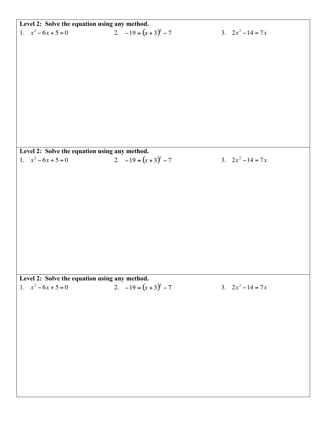|                                               | Level 2: Solve the equation using any method. |                     |  |  |
|-----------------------------------------------|-----------------------------------------------|---------------------|--|--|
| 1. $x^2 - 6x + 5 = 0$                         | 2. $-19 = (x + 3)^2 - 7$                      | 3. $2x^2 - 14 = 7x$ |  |  |
|                                               |                                               |                     |  |  |
|                                               |                                               |                     |  |  |
|                                               |                                               |                     |  |  |
|                                               |                                               |                     |  |  |
|                                               |                                               |                     |  |  |
|                                               |                                               |                     |  |  |
|                                               |                                               |                     |  |  |
|                                               |                                               |                     |  |  |
|                                               |                                               |                     |  |  |
|                                               |                                               |                     |  |  |
|                                               |                                               |                     |  |  |
|                                               |                                               |                     |  |  |
|                                               |                                               |                     |  |  |
| Level 2: Solve the equation using any method. |                                               |                     |  |  |
| 1. $x^2-6x+5=0$                               | 2. $-19 = (x + 3)^2 - 7$                      | 3. $2x^2 - 14 = 7x$ |  |  |
|                                               |                                               |                     |  |  |
|                                               |                                               |                     |  |  |
|                                               |                                               |                     |  |  |
|                                               |                                               |                     |  |  |
|                                               |                                               |                     |  |  |
|                                               |                                               |                     |  |  |
|                                               |                                               |                     |  |  |
|                                               |                                               |                     |  |  |
|                                               |                                               |                     |  |  |
|                                               |                                               |                     |  |  |
|                                               |                                               |                     |  |  |
|                                               |                                               |                     |  |  |
| Level 2: Solve the equation using any method. |                                               |                     |  |  |
| 1. $x^2 - 6x + 5 = 0$                         | 2. $-19 = (x + 3)^2 - 7$                      | 3. $2x^2 - 14 = 7x$ |  |  |
|                                               |                                               |                     |  |  |
|                                               |                                               |                     |  |  |
|                                               |                                               |                     |  |  |
|                                               |                                               |                     |  |  |
|                                               |                                               |                     |  |  |
|                                               |                                               |                     |  |  |
|                                               |                                               |                     |  |  |
|                                               |                                               |                     |  |  |
|                                               |                                               |                     |  |  |
|                                               |                                               |                     |  |  |
|                                               |                                               |                     |  |  |
|                                               |                                               |                     |  |  |
|                                               |                                               |                     |  |  |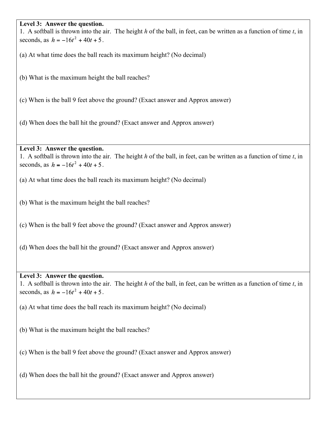#### **Level 3: Answer the question.**

1. A softball is thrown into the air. The height *h* of the ball, in feet, can be written as a function of time *t*, in seconds, as  $h = -16t^2 + 40t + 5$ .

(a) At what time does the ball reach its maximum height? (No decimal)

(b) What is the maximum height the ball reaches?

(c) When is the ball 9 feet above the ground? (Exact answer and Approx answer)

(d) When does the ball hit the ground? (Exact answer and Approx answer)

#### **Level 3: Answer the question.**

1. A softball is thrown into the air. The height *h* of the ball, in feet, can be written as a function of time *t*, in seconds, as  $h = -16t^2 + 40t + 5$ .

(a) At what time does the ball reach its maximum height? (No decimal)

(b) What is the maximum height the ball reaches?

(c) When is the ball 9 feet above the ground? (Exact answer and Approx answer)

(d) When does the ball hit the ground? (Exact answer and Approx answer)

### **Level 3: Answer the question.**

1. A softball is thrown into the air. The height *h* of the ball, in feet, can be written as a function of time *t*, in seconds, as  $h = -16t^2 + 40t + 5$ .

(a) At what time does the ball reach its maximum height? (No decimal)

(b) What is the maximum height the ball reaches?

(c) When is the ball 9 feet above the ground? (Exact answer and Approx answer)

(d) When does the ball hit the ground? (Exact answer and Approx answer)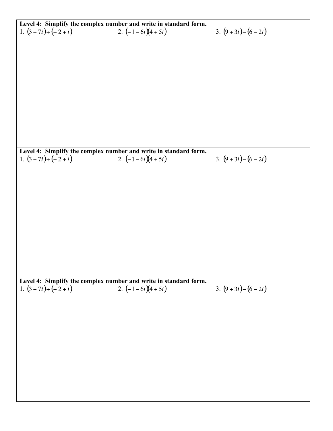| Level 4: Simplify the complex number and write in standard form.<br>1. $(3-7i)+(-2+i)$<br>2. $(-1-6i)(4+5i)$ |                                                                  |                    |
|--------------------------------------------------------------------------------------------------------------|------------------------------------------------------------------|--------------------|
|                                                                                                              |                                                                  | 3. $(9+3i)-(6-2i)$ |
|                                                                                                              |                                                                  |                    |
|                                                                                                              |                                                                  |                    |
|                                                                                                              |                                                                  |                    |
|                                                                                                              |                                                                  |                    |
|                                                                                                              |                                                                  |                    |
|                                                                                                              |                                                                  |                    |
|                                                                                                              |                                                                  |                    |
|                                                                                                              |                                                                  |                    |
|                                                                                                              |                                                                  |                    |
|                                                                                                              |                                                                  |                    |
|                                                                                                              |                                                                  |                    |
|                                                                                                              |                                                                  |                    |
|                                                                                                              |                                                                  |                    |
|                                                                                                              |                                                                  |                    |
|                                                                                                              |                                                                  |                    |
|                                                                                                              |                                                                  |                    |
|                                                                                                              | Level 4: Simplify the complex number and write in standard form. |                    |
| 1. $(3-7i)+(-2+i)$                                                                                           | 2. $(-1-6i)(4+5i)$                                               | 3. $(9+3i)-(6-2i)$ |
|                                                                                                              |                                                                  |                    |
|                                                                                                              |                                                                  |                    |
|                                                                                                              |                                                                  |                    |
|                                                                                                              |                                                                  |                    |
|                                                                                                              |                                                                  |                    |
|                                                                                                              |                                                                  |                    |
|                                                                                                              |                                                                  |                    |
|                                                                                                              |                                                                  |                    |
|                                                                                                              |                                                                  |                    |
|                                                                                                              |                                                                  |                    |
|                                                                                                              |                                                                  |                    |
|                                                                                                              |                                                                  |                    |
|                                                                                                              |                                                                  |                    |
|                                                                                                              |                                                                  |                    |
|                                                                                                              |                                                                  |                    |
|                                                                                                              |                                                                  |                    |
|                                                                                                              | Level 4: Simplify the complex number and write in standard form. |                    |
| 1. $(3-7i)+(-2+i)$                                                                                           | 2. $\left(-1-6i\right)\left(4+5i\right)$                         | 3. $(9+3i)-(6-2i)$ |
|                                                                                                              |                                                                  |                    |
|                                                                                                              |                                                                  |                    |
|                                                                                                              |                                                                  |                    |
|                                                                                                              |                                                                  |                    |
|                                                                                                              |                                                                  |                    |
|                                                                                                              |                                                                  |                    |
|                                                                                                              |                                                                  |                    |
|                                                                                                              |                                                                  |                    |
|                                                                                                              |                                                                  |                    |
|                                                                                                              |                                                                  |                    |
|                                                                                                              |                                                                  |                    |
|                                                                                                              |                                                                  |                    |
|                                                                                                              |                                                                  |                    |
|                                                                                                              |                                                                  |                    |
|                                                                                                              |                                                                  |                    |
|                                                                                                              |                                                                  |                    |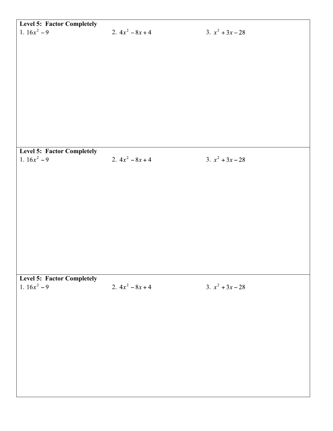| Level 5: Factor Completely        |                    |                    |
|-----------------------------------|--------------------|--------------------|
| 1. $16x^2 - 9$                    | 2. $4x^2 - 8x + 4$ | 3. $x^2 + 3x - 28$ |
|                                   |                    |                    |
|                                   |                    |                    |
|                                   |                    |                    |
|                                   |                    |                    |
|                                   |                    |                    |
|                                   |                    |                    |
|                                   |                    |                    |
|                                   |                    |                    |
|                                   |                    |                    |
|                                   |                    |                    |
|                                   |                    |                    |
|                                   |                    |                    |
|                                   |                    |                    |
|                                   |                    |                    |
|                                   |                    |                    |
|                                   |                    |                    |
| <b>Level 5: Factor Completely</b> |                    |                    |
| 1. $16x^2 - 9$                    | 2. $4x^2 - 8x + 4$ | 3. $x^2 + 3x - 28$ |
|                                   |                    |                    |
|                                   |                    |                    |
|                                   |                    |                    |
|                                   |                    |                    |
|                                   |                    |                    |
|                                   |                    |                    |
|                                   |                    |                    |
|                                   |                    |                    |
|                                   |                    |                    |
|                                   |                    |                    |
|                                   |                    |                    |
|                                   |                    |                    |
|                                   |                    |                    |
|                                   |                    |                    |
|                                   |                    |                    |
|                                   |                    |                    |
| <b>Level 5: Factor Completely</b> |                    |                    |
| 1. $16x^2 - 9$                    | 2. $4x^2 - 8x + 4$ | 3. $x^2 + 3x - 28$ |
|                                   |                    |                    |
|                                   |                    |                    |
|                                   |                    |                    |
|                                   |                    |                    |
|                                   |                    |                    |
|                                   |                    |                    |
|                                   |                    |                    |
|                                   |                    |                    |
|                                   |                    |                    |
|                                   |                    |                    |
|                                   |                    |                    |
|                                   |                    |                    |
|                                   |                    |                    |
|                                   |                    |                    |
|                                   |                    |                    |